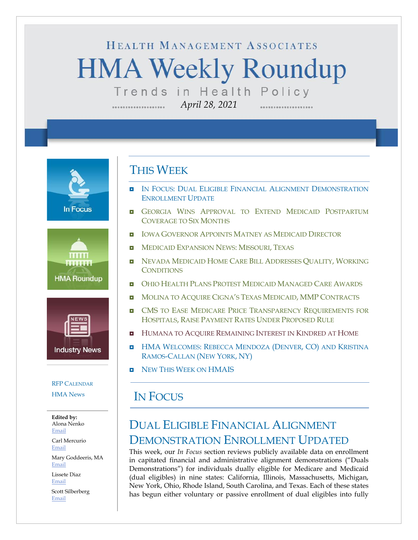# HEALTH MANAGEMENT ASSOCIATES **HMA Weekly Roundup** Trends in Health Policy

*April 28, 2021*

**In Focus** 





#### RFP C[ALENDAR](#page-10-0)

[HMA News](#page-13-0)

**Edited by:** Alona Nenko [Email](mailto:anenko@healthmanagement.com)

Carl Mercurio [Email](mailto:cmercurio@healthmanagement.com)

Mary Goddeeris, MA [Email](mailto:mgoddeeris@healthmanagement.com)

Lissete Diaz [Email](mailto:ldiaz@healthmanagement.com)

Scott Silberberg [Email](mailto:ssilberberg@healthmanagement.com)

### THIS WEEK

- **IN FOCUS: DUAL ELIGIBLE FINANCIAL ALIGNMENT DEMONSTRATION** ENROLLMENT UPDATE
- **GEORGIA WINS A[PPROVAL TO](#page-4-0) EXTEND MEDICAID POSTPARTUM** C[OVERAGE TO](#page-4-0) SIX MONTHS
- **I** IOWA G[OVERNOR](#page-4-1) APPOINTS MATNEY AS MEDICAID DIRECTOR
- **INEDICAID E[XPANSION](#page-5-0) NEWS: MISSOURI, TEXAS**
- **NEVADA MEDICAID HOME CARE BILL A[DDRESSES](#page-5-1) OUALITY, WORKING C[ONDITIONS](#page-5-1)**
- **OHIO HEALTH PLANS PROTEST MEDICAID M[ANAGED](#page-5-2) CARE AWARDS**
- **D** MOLINA TO ACOUIRE CIGNA'S TEXAS MEDICAID, MMP C[ONTRACTS](#page-6-0)
- **D** CMS TO EASE MEDICARE PRICE TRANSPARENCY REQUIREMENTS FOR HOSPITALS, RAISE PAYMENT RATES UNDER P[ROPOSED](#page-7-0) RULE
- **HUMANA TO ACQUIRE REMAINING I[NTEREST IN](#page-9-0) KINDRED AT HOME**
- **HMA W[ELCOMES](#page-11-0): REBECCA MENDOZA (DENVER, CO) AND KRISTINA** RAMOS-C[ALLAN](#page-11-0) (NEW YORK, NY)
- NEW THIS WEEK ON [HMAIS](#page-13-0)

### IN FOCUS

### DUAL ELIGIBLE FINANCIAL ALIGNMENT DEMONSTRATION ENROLLMENT UPDATED

This week, our *In Focus* section reviews publicly available data on enrollment in capitated financial and administrative alignment demonstrations ("Duals Demonstrations") for individuals dually eligible for Medicare and Medicaid (dual eligibles) in nine states: California, Illinois, Massachusetts, Michigan, New York, Ohio, Rhode Island, South Carolina, and Texas. Each of these states has begun either voluntary or passive enrollment of dual eligibles into fully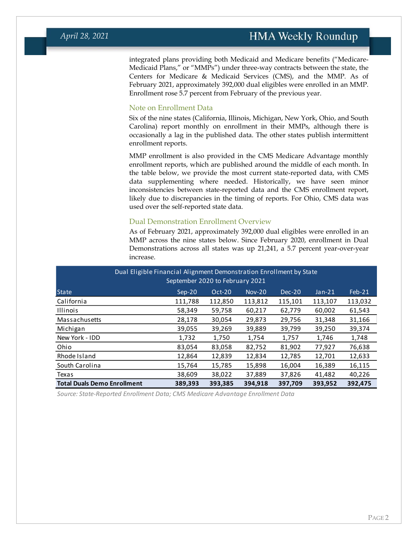integrated plans providing both Medicaid and Medicare benefits ("Medicare-Medicaid Plans," or "MMPs") under three-way contracts between the state, the Centers for Medicare & Medicaid Services (CMS), and the MMP. As of February 2021, approximately 392,000 dual eligibles were enrolled in an MMP. Enrollment rose 5.7 percent from February of the previous year.

#### Note on Enrollment Data

Six of the nine states (California, Illinois, Michigan, New York, Ohio, and South Carolina) report monthly on enrollment in their MMPs, although there is occasionally a lag in the published data. The other states publish intermittent enrollment reports.

MMP enrollment is also provided in the CMS Medicare Advantage monthly enrollment reports, which are published around the middle of each month. In the table below, we provide the most current state-reported data, with CMS data supplementing where needed. Historically, we have seen minor inconsistencies between state-reported data and the CMS enrollment report, likely due to discrepancies in the timing of reports. For Ohio, CMS data was used over the self-reported state data.

#### Dual Demonstration Enrollment Overview

As of February 2021, approximately 392,000 dual eligibles were enrolled in an MMP across the nine states below. Since February 2020, enrollment in Dual Demonstrations across all states was up 21,241, a 5.7 percent year-over-year increase.

|                                                                                                      | Dual Eligible Financial Alignment Demonstration Enrollment by State<br>September 2020 to February 2021 |          |         |               |         |          |          |
|------------------------------------------------------------------------------------------------------|--------------------------------------------------------------------------------------------------------|----------|---------|---------------|---------|----------|----------|
| <b>State</b>                                                                                         |                                                                                                        | $Sep-20$ | Oct-20  | <b>Nov-20</b> | Dec-20  | $Jan-21$ | $Feb-21$ |
| California                                                                                           |                                                                                                        | 111,788  | 112,850 | 113,812       | 115,101 | 113,107  | 113,032  |
| <b>Illinois</b>                                                                                      |                                                                                                        | 58,349   | 59,758  | 60,217        | 62,779  | 60,002   | 61,543   |
| Massachusetts                                                                                        |                                                                                                        | 28,178   | 30,054  | 29,873        | 29,756  | 31,348   | 31,166   |
| Michigan                                                                                             |                                                                                                        | 39,055   | 39,269  | 39,889        | 39,799  | 39,250   | 39,374   |
| New York - IDD                                                                                       |                                                                                                        | 1,732    | 1,750   | 1,754         | 1,757   | 1,746    | 1,748    |
| Ohio                                                                                                 |                                                                                                        | 83,054   | 83,058  | 82,752        | 81,902  | 77,927   | 76,638   |
| Rhode Island                                                                                         |                                                                                                        | 12,864   | 12,839  | 12,834        | 12,785  | 12,701   | 12,633   |
| South Carolina                                                                                       |                                                                                                        | 15,764   | 15,785  | 15,898        | 16,004  | 16,389   | 16,115   |
| Texas                                                                                                |                                                                                                        | 38,609   | 38,022  | 37,889        | 37,826  | 41,482   | 40,226   |
| <b>Total Duals Demo Enrollment</b><br>389.393<br>393.385<br>394.918<br>393.952<br>392.475<br>397.709 |                                                                                                        |          |         |               |         |          |          |

*Source: State-Reported Enrollment Data; CMS Medicare Advantage Enrollment Data*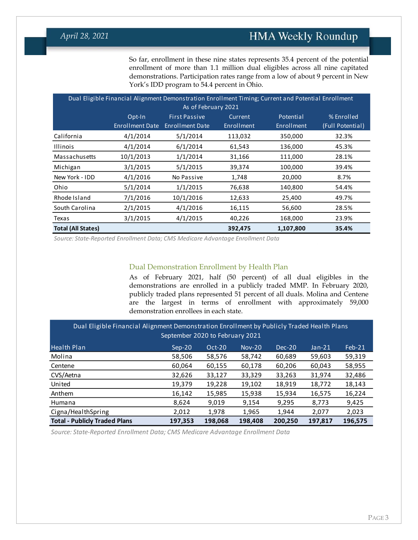So far, enrollment in these nine states represents 35.4 percent of the potential enrollment of more than 1.1 million dual eligibles across all nine capitated demonstrations. Participation rates range from a low of about 9 percent in New York's IDD program to 54.4 percent in Ohio.

| Dual Eligible Financial Alignment Demonstration Enrollment Timing; Current and Potential Enrollment<br>As of February 2021 |                                  |                                                |                              |                                |                                |  |
|----------------------------------------------------------------------------------------------------------------------------|----------------------------------|------------------------------------------------|------------------------------|--------------------------------|--------------------------------|--|
|                                                                                                                            | Opt-In<br><b>Enrollment Date</b> | <b>First Passive</b><br><b>Enrollment Date</b> | Current<br><b>Enrollment</b> | Potential<br><b>Enrollment</b> | % Enrolled<br>(Full Potential) |  |
| California                                                                                                                 | 4/1/2014                         | 5/1/2014                                       | 113,032                      | 350,000                        | 32.3%                          |  |
| <b>Illinois</b>                                                                                                            | 4/1/2014                         | 6/1/2014                                       | 61,543                       | 136,000                        | 45.3%                          |  |
| Massachusetts                                                                                                              | 10/1/2013                        | 1/1/2014                                       | 31,166                       | 111,000                        | 28.1%                          |  |
| Michigan                                                                                                                   | 3/1/2015                         | 5/1/2015                                       | 39,374                       | 100,000                        | 39.4%                          |  |
| New York - IDD                                                                                                             | 4/1/2016                         | No Passive                                     | 1,748                        | 20,000                         | 8.7%                           |  |
| Ohio                                                                                                                       | 5/1/2014                         | 1/1/2015                                       | 76,638                       | 140,800                        | 54.4%                          |  |
| Rhode Island                                                                                                               | 7/1/2016                         | 10/1/2016                                      | 12,633                       | 25,400                         | 49.7%                          |  |
| South Carolina                                                                                                             | 2/1/2015                         | 4/1/2016                                       | 16,115                       | 56,600                         | 28.5%                          |  |
| Texas                                                                                                                      | 3/1/2015                         | 4/1/2015                                       | 40,226                       | 168,000                        | 23.9%                          |  |
| <b>Total (All States)</b>                                                                                                  |                                  |                                                | 392,475                      | 1,107,800                      | 35.4%                          |  |

*Source: State-Reported Enrollment Data; CMS Medicare Advantage Enrollment Data*

#### Dual Demonstration Enrollment by Health Plan

As of February 2021, half (50 percent) of all dual eligibles in the demonstrations are enrolled in a publicly traded MMP. In February 2020, publicly traded plans represented 51 percent of all duals. Molina and Centene are the largest in terms of enrollment with approximately 59,000 demonstration enrollees in each state.

| Dual Eligible Financial Alignment Demonstration Enrollment by Publicly Traded Health Plans<br>September 2020 to February 2021 |          |          |               |        |          |          |
|-------------------------------------------------------------------------------------------------------------------------------|----------|----------|---------------|--------|----------|----------|
| Health Plan                                                                                                                   | $Sep-20$ | $Oct-20$ | <b>Nov-20</b> | Dec-20 | $Jan-21$ | $Feb-21$ |
| Molina                                                                                                                        | 58,506   | 58,576   | 58,742        | 60,689 | 59,603   | 59,319   |
| Centene                                                                                                                       | 60,064   | 60,155   | 60,178        | 60,206 | 60,043   | 58,955   |
| CVS/Aetna                                                                                                                     | 32,626   | 33,127   | 33,329        | 33,263 | 31,974   | 32,486   |
| United                                                                                                                        | 19,379   | 19,228   | 19,102        | 18,919 | 18,772   | 18,143   |
| Anthem                                                                                                                        | 16,142   | 15,985   | 15,938        | 15,934 | 16,575   | 16,224   |
| Humana                                                                                                                        | 8,624    | 9,019    | 9,154         | 9,295  | 8,773    | 9,425    |
| Cigna/HealthSpring                                                                                                            | 2,012    | 1,978    | 1,965         | 1,944  | 2,077    | 2,023    |
| <b>Total - Publicly Traded Plans</b><br>200,250<br>197,353<br>198,068<br>198,408<br>197,817<br>196,575                        |          |          |               |        |          |          |

*Source: State-Reported Enrollment Data; CMS Medicare Advantage Enrollment Data*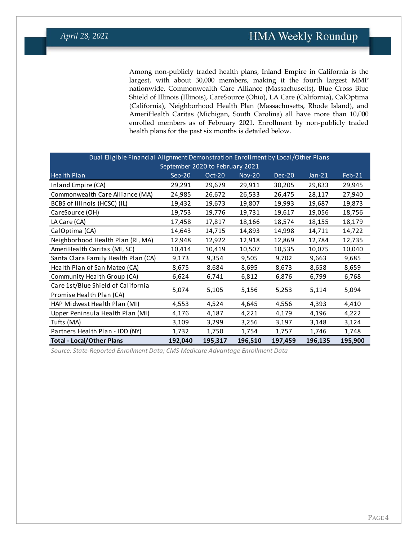Among non-publicly traded health plans, Inland Empire in California is the largest, with about 30,000 members, making it the fourth largest MMP nationwide. Commonwealth Care Alliance (Massachusetts), Blue Cross Blue Shield of Illinois (Illinois), CareSource (Ohio), LA Care (California), CalOptima (California), Neighborhood Health Plan (Massachusetts, Rhode Island), and AmeriHealth Caritas (Michigan, South Carolina) all have more than 10,000 enrolled members as of February 2021. Enrollment by non-publicly traded health plans for the past six months is detailed below.

| Dual Eligible Financial Alignment Demonstration Enrollment by Local/Other Plans |         |         |          |         |          |         |
|---------------------------------------------------------------------------------|---------|---------|----------|---------|----------|---------|
| September 2020 to February 2021                                                 |         |         |          |         |          |         |
| <b>Health Plan</b>                                                              | Sep-20  | Oct-20  | $Nov-20$ | Dec-20  | $Jan-21$ | Feb-21  |
| Inland Empire (CA)                                                              | 29,291  | 29,679  | 29,911   | 30,205  | 29,833   | 29,945  |
| Commonwealth Care Alliance (MA)                                                 | 24,985  | 26,672  | 26,533   | 26,475  | 28,117   | 27,940  |
| BCBS of Illinois (HCSC) (IL)                                                    | 19,432  | 19,673  | 19,807   | 19,993  | 19,687   | 19,873  |
| CareSource (OH)                                                                 | 19,753  | 19,776  | 19,731   | 19,617  | 19,056   | 18,756  |
| LA Care (CA)                                                                    | 17,458  | 17,817  | 18,166   | 18,574  | 18,155   | 18,179  |
| CalOptima (CA)                                                                  | 14,643  | 14,715  | 14,893   | 14,998  | 14,711   | 14,722  |
| Neighborhood Health Plan (RI, MA)                                               | 12,948  | 12,922  | 12,918   | 12,869  | 12,784   | 12,735  |
| AmeriHealth Caritas (MI, SC)                                                    | 10,414  | 10,419  | 10,507   | 10,535  | 10,075   | 10,040  |
| Santa Clara Family Health Plan (CA)                                             | 9,173   | 9,354   | 9,505    | 9,702   | 9,663    | 9,685   |
| Health Plan of San Mateo (CA)                                                   | 8,675   | 8,684   | 8,695    | 8,673   | 8,658    | 8,659   |
| Community Health Group (CA)                                                     | 6,624   | 6,741   | 6,812    | 6,876   | 6,799    | 6,768   |
| Care 1st/Blue Shield of California                                              | 5,074   | 5,105   | 5,156    | 5,253   | 5,114    | 5,094   |
| Promise Health Plan (CA)                                                        |         |         |          |         |          |         |
| HAP Midwest Health Plan (MI)                                                    | 4,553   | 4,524   | 4,645    | 4,556   | 4,393    | 4,410   |
| Upper Peninsula Health Plan (MI)                                                | 4,176   | 4,187   | 4,221    | 4,179   | 4,196    | 4,222   |
| Tufts (MA)                                                                      | 3,109   | 3,299   | 3,256    | 3,197   | 3,148    | 3,124   |
| Partners Health Plan - IDD (NY)                                                 | 1,732   | 1,750   | 1,754    | 1,757   | 1,746    | 1,748   |
| <b>Total - Local/Other Plans</b>                                                | 192,040 | 195,317 | 196,510  | 197,459 | 196,135  | 195,900 |

*Source: State-Reported Enrollment Data; CMS Medicare Advantage Enrollment Data*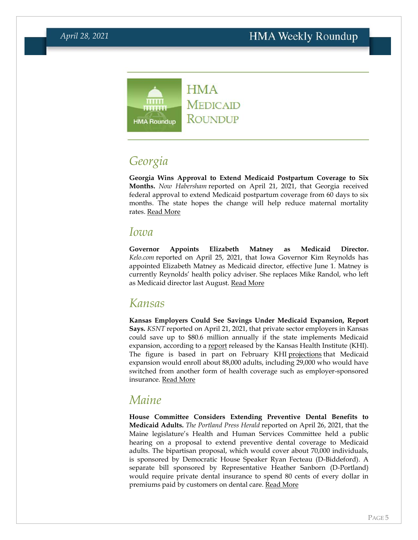

### <span id="page-4-0"></span>*Georgia*

**Georgia Wins Approval to Extend Medicaid Postpartum Coverage to Six Months.** *Now Habersham* reported on April 21, 2021, that Georgia received federal approval to extend Medicaid postpartum coverage from 60 days to six months. The state hopes the change will help reduce maternal mortality rates. [Read More](https://nowhabersham.com/feds-approve-georgias-plant-to-extend-medicaid-benefits-for-new-mothers/)

#### <span id="page-4-1"></span>*Iowa*

**Governor Appoints Elizabeth Matney as Medicaid Director.**  *Kelo.com* reported on April 25, 2021, that Iowa Governor Kim Reynolds has appointed Elizabeth Matney as Medicaid director, effective June 1. Matney is currently Reynolds' health policy adviser. She replaces Mike Randol, who left as Medicaid director last August. [Read More](https://kelo.com/2021/04/25/iowa-gets-new-medicaid-director/)

#### *Kansas*

**Kansas Employers Could See Savings Under Medicaid Expansion, Report Says.** *KSNT* reported on April 21, 2021, that private sector employers in Kansas could save up to \$80.6 million annually if the state implements Medicaid expansion, according to a [report](https://www.ksnt.com/wp-content/uploads/sites/86/2021/04/MedicaidExpMainStreet-1.pdf) released by the Kansas Health Institute (KHI). The figure is based in part on February KHI [projections](https://www.khi.org/policy/article/21-08) that Medicaid expansion would enroll about 88,000 adults, including 29,000 who would have switched from another form of health coverage such as employer-sponsored insurance. [Read More](https://www.ksnt.com/capitol-bureau/kansas-sees-new-push-after-report-shows-medicaid-expansion-saves-state-businesses-money/)

### *Maine*

**House Committee Considers Extending Preventive Dental Benefits to Medicaid Adults.** *The Portland Press Herald* reported on April 26, 2021, that the Maine legislature's Health and Human Services Committee held a public hearing on a proposal to extend preventive dental coverage to Medicaid adults. The bipartisan proposal, which would cover about 70,000 individuals, is sponsored by Democratic House Speaker Ryan Fecteau (D-Biddeford). A separate bill sponsored by Representative Heather Sanborn (D-Portland) would require private dental insurance to spend 80 cents of every dollar in premiums paid by customers on dental care. [Read More](https://www.pressherald.com/2021/04/26/maine-lawmakers-take-up-new-effort-to-expand-adult-dental-care-under-medicaid/)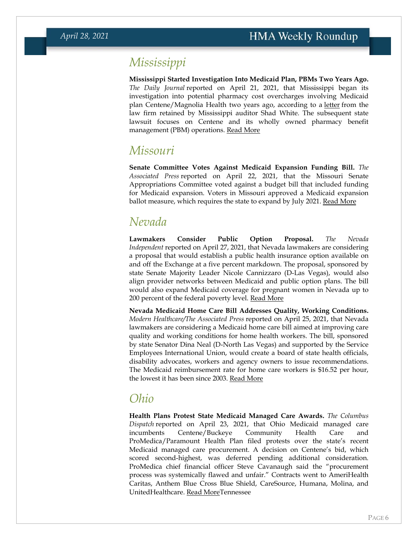### *Mississippi*

**Mississippi Started Investigation Into Medicaid Plan, PBMs Two Years Ago.**  *The Daily Journal* reported on April 21, 2021, that Mississippi began its investigation into potential pharmacy cost overcharges involving Medicaid plan Centene/Magnolia Health two years ago, according to a [letter](https://www.osa.ms.gov/documents/Transparency/2020/20cListon%20and%20Deas,%20PLLC.pdf) from the law firm retained by Mississippi auditor Shad White. The subsequent state lawsuit focuses on Centene and its wholly owned pharmacy benefit management (PBM) operations. [Read More](https://www.djournal.com/news/state-news/mississippi-started-investigating-its-largest-medicaid-contractor-2-years-ago/article_bc5ab565-b03e-5053-9805-e799975d82e8.html)

#### <span id="page-5-0"></span>*Missouri*

**Senate Committee Votes Against Medicaid Expansion Funding Bill.** *The Associated Press* reported on April 22, 2021, that the Missouri Senate Appropriations Committee voted against a budget bill that included funding for Medicaid expansion. Voters in Missouri approved a Medicaid expansion ballot measure, which requires the state to expand by July 2021. [Read More](https://apnews.com/article/constitutions-business-michael-brown-medicaid-legislature-adfa965f33d95cee26c8185d9dd56d10)

### <span id="page-5-1"></span>*Nevada*

**Lawmakers Consider Public Option Proposal.** *The Nevada Independent* reported on April 27, 2021, that Nevada lawmakers are considering a proposal that would establish a public health insurance option available on and off the Exchange at a five percent markdown. The proposal, sponsored by state Senate Majority Leader Nicole Cannizzaro (D-Las Vegas), would also align provider networks between Medicaid and public option plans. The bill would also expand Medicaid coverage for pregnant women in Nevada up to 200 percent of the federal poverty level. [Read More](https://thenevadaindependent.com/article/four-years-after-passing-medicaid-buy-in-lawmakers-to-consider-public-option-proposal)

**Nevada Medicaid Home Care Bill Addresses Quality, Working Conditions.**  *Modern Healthcare/The Associated Press* reported on April 25, 2021, that Nevada lawmakers are considering a Medicaid home care bill aimed at improving care quality and working conditions for home health workers. The bill, sponsored by state Senator Dina Neal (D-North Las Vegas) and supported by the Service Employees International Union, would create a board of state health officials, disability advocates, workers and agency owners to issue recommendations. The Medicaid reimbursement rate for home care workers is \$16.52 per hour, the lowest it has been since 2003. [Read More](https://www.modernhealthcare.com/politics-policy/nevada-lawmakers-consider-home-care-worker-client-measure)

#### <span id="page-5-2"></span>*Ohio*

**Health Plans Protest State Medicaid Managed Care Awards.** *The Columbus Dispatch* reported on April 23, 2021, that Ohio Medicaid managed care incumbents Centene/Buckeye Community Health Care and ProMedica/Paramount Health Plan filed protests over the state's recent Medicaid managed care procurement. A decision on Centene's bid, which scored second-highest, was deferred pending additional consideration. ProMedica chief financial officer Steve Cavanaugh said the "procurement process was systemically flawed and unfair." Contracts went to AmeriHealth Caritas, Anthem Blue Cross Blue Shield, CareSource, Humana, Molina, and UnitedHealthcare. [Read MoreT](https://www.dispatch.com/story/news/healthcare/2021/04/23/promedica-paramount-health-care-protestsohio-medicaid-managed-care/7340384002/)ennessee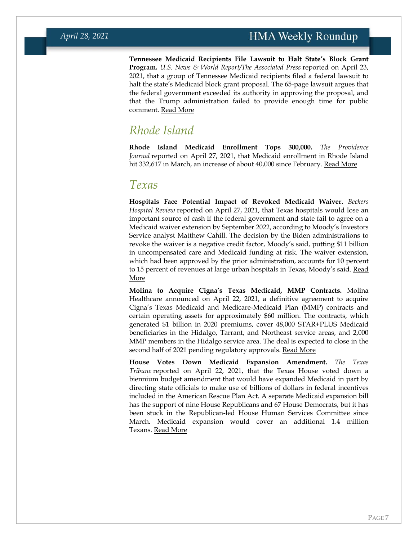**Tennessee Medicaid Recipients File Lawsuit to Halt State's Block Grant Program.** *U.S. News & World Report/The Associated Press* reported on April 23, 2021, that a group of Tennessee Medicaid recipients filed a federal lawsuit to halt the state's Medicaid block grant proposal. The 65-page lawsuit argues that the federal government exceeded its authority in approving the proposal, and that the Trump administration failed to provide enough time for public comment. [Read More](https://www.usnews.com/news/best-states/tennessee/articles/2021-04-23/advocates-sue-to-stop-tennessee-medicaid-block-grant-program)

#### *Rhode Island*

**Rhode Island Medicaid Enrollment Tops 300,000.** *The Providence Journal* reported on April 27, 2021, that Medicaid enrollment in Rhode Island hit 332,617 in March, an increase of about 40,000 since February. [Read More](https://www.providencejournal.com/story/news/politics/2021/04/27/medicaid-covers-nearly-third-ri-population/4855258001/)

#### <span id="page-6-0"></span>*Texas*

**Hospitals Face Potential Impact of Revoked Medicaid Waiver.** *Beckers Hospital Review* reported on April 27, 2021, that Texas hospitals would lose an important source of cash if the federal government and state fail to agree on a Medicaid waiver extension by September 2022, according to Moody's Investors Service analyst Matthew Cahill. The decision by the Biden administrations to revoke the waiver is a negative credit factor, Moody's said, putting \$11 billion in uncompensated care and Medicaid funding at risk. The waiver extension, which had been approved by the prior administration, accounts for 10 percent to 15 percent of revenues at large urban hospitals in Texas, Moody's said. Read [More](https://www.beckershospitalreview.com/finance/revoked-texas-medicaid-waiver-credit-negative-for-hospitals.html)

**Molina to Acquire Cigna's Texas Medicaid, MMP Contracts.** Molina Healthcare announced on April 22, 2021, a definitive agreement to acquire Cigna's Texas Medicaid and Medicare-Medicaid Plan (MMP) contracts and certain operating assets for approximately \$60 million. The contracts, which generated \$1 billion in 2020 premiums, cover 48,000 STAR+PLUS Medicaid beneficiaries in the Hidalgo, Tarrant, and Northeast service areas, and 2,000 MMP members in the Hidalgo service area. The deal is expected to close in the second half of 2021 pending regulatory approvals. [Read More](https://www.businesswire.com/news/home/20210422006089/en/Molina-Healthcare-to-Acquire-Cigna%E2%80%99s-Texas-Medicaid-Contracts)

**House Votes Down Medicaid Expansion Amendment.** *The Texas Tribune* reported on April 22, 2021, that the Texas House voted down a biennium budget amendment that would have expanded Medicaid in part by directing state officials to make use of billions of dollars in federal incentives included in the American Rescue Plan Act. A separate Medicaid expansion bill has the support of nine House Republicans and 67 House Democrats, but it has been stuck in the Republican-led House Human Services Committee since March. Medicaid expansion would cover an additional 1.4 million Texans. [Read More](https://www.texastribune.org/2021/04/22/texas-house-medicaid-expansion-uninsured/)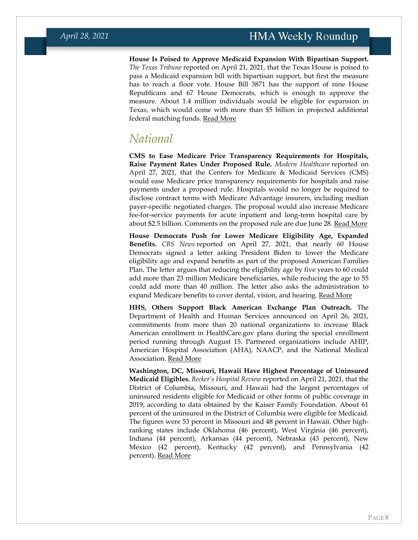**House Is Poised to Approve Medicaid Expansion With Bipartisan Support.**  *The Texas Tribune* reported on April 21, 2021, that the Texas House is poised to pass a Medicaid expansion bill with bipartisan support, but first the measure has to reach a floor vote. House Bill 3871 has the support of nine House Republicans and 67 House Democrats, which is enough to approve the measure. About 1.4 million individuals would be eligible for expansion in Texas, which would come with more than \$5 billion in projected additional federal matching funds. [Read More](https://www.texastribune.org/2021/04/21/texas-medicaid-expansion/)

#### <span id="page-7-0"></span>*National*

**CMS to Ease Medicare Price Transparency Requirements for Hospitals, Raise Payment Rates Under Proposed Rule.** *Modern Healthcare* reported on April 27, 2021, that the Centers for Medicare & Medicaid Services (CMS) would ease Medicare price transparency requirements for hospitals and raise payments under a proposed rule. Hospitals would no longer be required to disclose contract terms with Medicare Advantage insurers, including median payer-specific negotiated charges. The proposal would also increase Medicare fee-for-service payments for acute inpatient and long-term hospital care by about \$2.5 billion. Comments on the proposed rule are due June 28. [Read More](https://www.modernhealthcare.com/payment/inpatient-pay-rule-would-give-hospitals-25-billion-boost)

**House Democrats Push for Lower Medicare Eligibility Age, Expanded Benefits.** *CBS News* reported on April 27, 2021, that nearly 60 House Democrats signed a letter asking President Biden to lower the Medicare eligibility age and expand benefits as part of the proposed American Families Plan. The letter argues that reducing the eligibility age by five years to 60 could add more than 23 million Medicare beneficiaries, while reducing the age to 55 could add more than 40 million. The letter also asks the administration to expand Medicare benefits to cover dental, vision, and hearing. [Read More](https://www.cbsnews.com/news/medicare-eligibility-age-house-democrats-biden/)

**HHS, Others Support Black American Exchange Plan Outreach.** The Department of Health and Human Services announced on April 26, 2021, commitments from more than 20 national organizations to increase Black American enrollment in HealthCare.gov plans during the special enrollment period running through August 15. Partnered organizations include AHIP, American Hospital Association (AHA), NAACP, and the National Medical Association. [Read More](https://www.cms.gov/newsroom/press-releases/hhs-national-partners-combine-boost-black-american-enrollment-healthcaregov)

**Washington, DC, Missouri, Hawaii Have Highest Percentage of Uninsured Medicaid Eligibles.** *Becker's Hospital Review* reported on April 21, 2021, that the District of Columbia, Missouri, and Hawaii had the largest percentages of uninsured residents eligible for Medicaid or other forms of public coverage in 2019, according to data obtained by the Kaiser Family Foundation. About 61 percent of the uninsured in the District of Columbia were eligible for Medicaid. The figures were 53 percent in Missouri and 48 percent in Hawaii. Other highranking states include Oklahoma (46 percent), West Virginia (46 percent), Indiana (44 percent), Arkansas (44 percent), Nebraska (43 percent), New Mexico (42 percent), Kentucky (42 percent), and Pennsylvania (42 percent). [Read More](https://www.beckershospitalreview.com/payer-issues/11-places-with-highest-percent-of-uninsured-eligible-for-medicaid-public-coverage.html)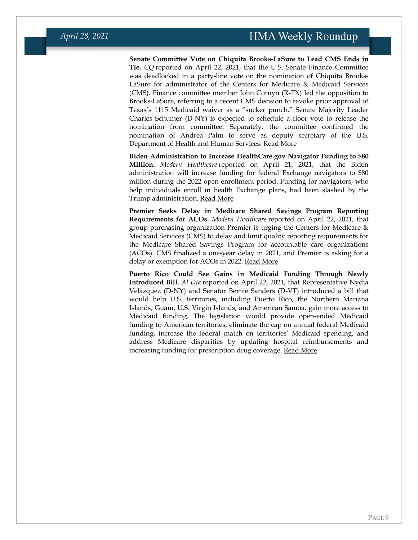**Senate Committee Vote on Chiquita Brooks-LaSure to Lead CMS Ends in Tie.** *CQ* reported on April 22, 2021, that the U.S. Senate Finance Committee was deadlocked in a party-line vote on the nomination of Chiquita Brooks-LaSure for administrator of the Centers for Medicare & Medicaid Services (CMS). Finance committee member John Cornyn (R-TX) led the opposition to Brooks-LaSure, referring to a recent CMS decision to revoke prior approval of Texas's 1115 Medicaid waiver as a "sucker punch." Senate Majority Leader Charles Schumer (D-NY) is expected to schedule a floor vote to release the nomination from committee. Separately, the committee confirmed the nomination of Andrea Palm to serve as deputy secretary of the U.S. Department of Health and Human Services. [Read More](https://plus.cq.com/doc/6200476)

**Biden Administration to Increase HealthCare.gov Navigator Funding to \$80 Million.** *Modern Healthcare* reported on April 21, 2021, that the Biden administration will increase funding for federal Exchange navigators to \$80 million during the 2022 open enrollment period. Funding for navigators, who help individuals enroll in health Exchange plans, had been slashed by the Trump administration. [Read More](https://www.modernhealthcare.com/insurance/navigators-get-record-breaking-80-million-boost-aca-enrollment)

**Premier Seeks Delay in Medicare Shared Savings Program Reporting Requirements for ACOs.** *Modern Healthcare* reported on April 22, 2021, that group purchasing organization Premier is urging the Centers for Medicare & Medicaid Services (CMS) to delay and limit quality reporting requirements for the Medicare Shared Savings Program for accountable care organizations (ACOs). CMS finalized a one-year delay in 2021, and Premier is asking for a delay or exemption for ACOs in 2022. [Read More](https://www.modernhealthcare.com/safety-quality/premier-asks-cms-give-acos-more-time-prep-new-mssp-quality-reporting-requirements)

**Puerto Rico Could See Gains in Medicaid Funding Through Newly Introduced Bill.** *Al Día* reported on April 22, 2021, that Representative Nydia Velázquez (D-NY) and Senator Bernie Sanders (D-VT) introduced a bill that would help U.S. territories, including Puerto Rico, the Northern Mariana Islands, Guam, U.S. Virgin Islands, and American Samoa, gain more access to Medicaid funding. The legislation would provide open-ended Medicaid funding to American territories, eliminate the cap on annual federal Medicaid funding, increase the federal match on territories' Medicaid spending, and address Medicare disparities by updating hospital reimbursements and increasing funding for prescription drug coverage. [Read More](https://aldianews.com/articles/politics/bill-make-puerto-rico-eligible-medicaid-snap-and-tax-cuts-works/64218)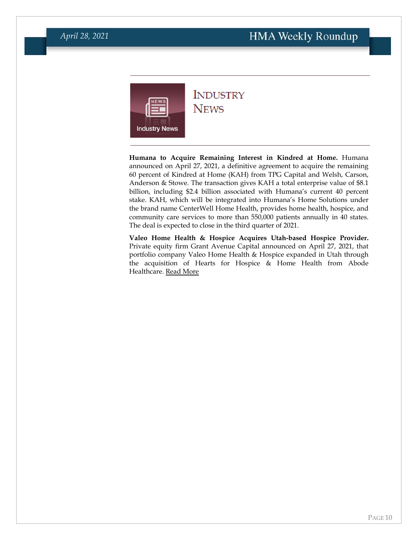<span id="page-9-0"></span>

# **INDUSTRY**

**NEWS** 

**Humana to Acquire Remaining Interest in Kindred at Home.** Humana announced on April 27, 2021, a definitive agreement to acquire the remaining 60 percent of Kindred at Home (KAH) from TPG Capital and Welsh, Carson, Anderson & Stowe. The transaction gives KAH a total enterprise value of \$8.1 billion, including \$2.4 billion associated with Humana's current 40 percent stake. KAH, which will be integrated into Humana's Home Solutions under the brand name CenterWell Home Health, provides home health, hospice, and community care services to more than 550,000 patients annually in 40 states. The deal is expected to close in the third quarter of 2021.

**Valeo Home Health & Hospice Acquires Utah-based Hospice Provider.**  Private equity firm Grant Avenue Capital announced on April 27, 2021, that portfolio company Valeo Home Health & Hospice expanded in Utah through the acquisition of Hearts for Hospice & Home Health from Abode Healthcare. [Read More](https://www.prnewswire.com/news-releases/grant-avenue-capital-backed-valeo-home-health--hospice-acquires-hearts-for-hospice--home-health-from-abode-healthcare-301277208.html)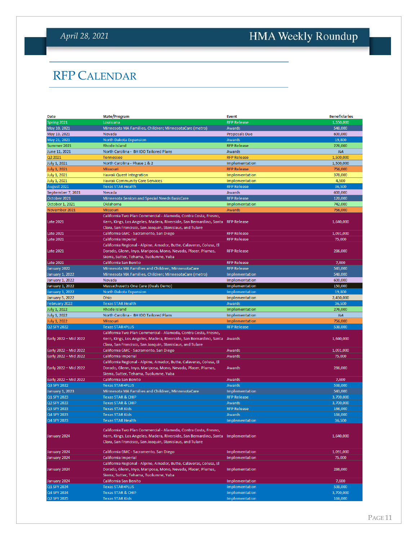### *April 28, 2021*

# <span id="page-10-0"></span>HMA Weekly Roundup

## RFP CALENDAR

| Date                   | <b>State/Program</b>                                                              | <b>Event</b>         | <b>Beneficiaries</b> |
|------------------------|-----------------------------------------------------------------------------------|----------------------|----------------------|
| Spring 2021            | Louisiana                                                                         | <b>RFP Release</b>   | 1,550,000            |
| May 10, 2021           | Minnesota MA Families, Children; MinnesotaCare (metro)                            | Awards               | 548,000              |
| May 13, 2021           | Nevada                                                                            | <b>Proposals Due</b> | 600,000              |
| May 21, 2021           | North Dakota Expansion                                                            | Awards               | 19,800               |
| Summer 2021            | Rhode Island                                                                      | <b>RFP Release</b>   | 276,000              |
| June 11, 2021          | North Carolina - BH IDD Tailored Plans                                            | Awards               | <b>NA</b>            |
| Q2 2021                | Tennessee                                                                         | <b>RFP Release</b>   | 1,500,000            |
| July 1, 2021           | North Carolina - Phase 1 & 2                                                      | Implementation       | 1,500,000            |
| July 1, 2021           | Missouri                                                                          | <b>RFP Release</b>   | 756,000              |
| July 1, 2021           | Hawaii Quest Integration                                                          | Implementation       | 378,000              |
| <b>July 1, 2021</b>    | <b>Hawaii Community Care Services</b>                                             | Implementation       | 4,500                |
|                        | <b>Texas STAR Health</b>                                                          | <b>RFP Release</b>   | 36,500               |
| August 2021            |                                                                                   |                      |                      |
| September 7, 2021      | Nevada                                                                            | Awards               | 600,000              |
| October 2021           | Minnesota Seniors and Special Needs BasicCare                                     | <b>RFP Release</b>   | 120,000              |
| October 1, 2021        | Oklahoma                                                                          | Implementation       | 742.000              |
| November 2021          | Missouri                                                                          | Awards               | 756,000              |
|                        | California Two Plan Commercial - Alameda, Contra Costa, Fresno,                   |                      |                      |
| Late 2021              | Kern, Kings, Los Angeles, Madera, Riverside, San Bernardino, Santa RFP Release    |                      | 1,640,000            |
|                        | Clara, San Francisco, San Joaquin, Stanislaus, and Tulare                         |                      |                      |
| Late 2021              | California GMC - Sacramento, San Diego                                            | <b>RFP Release</b>   | 1,091,000            |
| Late 2021              | California Imperial                                                               | <b>RFP Release</b>   | 75,000               |
|                        | California Regional - Alpine, Amador, Butte, Calaveras, Colusa, El                |                      |                      |
| <b>Late 2021</b>       | Dorado, Glenn, Inyo, Mariposa, Mono, Nevada, Placer, Plumas,                      | <b>RFP Release</b>   | 286,000              |
|                        | Sierra, Sutter, Tehama, Tuolumne, Yuba                                            |                      |                      |
| <b>Late 2021</b>       | California San Benito                                                             | <b>RFP Release</b>   | 7,600                |
| January 2022           | Minnesota MA Families and Children, MinnesotaCare                                 | <b>RFP Release</b>   | 543,000              |
| January 1, 2022        | Minnesota MA Families, Children; MinnesotaCare (metro)                            | Implementation       | 548,000              |
| January 1, 2022        | Nevada                                                                            | Implementation       | 600,000              |
| January 1, 2022        | Massachusetts One Care (Duals Demo)                                               | Implementation       | 150,000              |
| <b>January 1, 2022</b> | North Dakota Expansion                                                            | Implementation       | 19,800               |
| January 5, 2022        | Ohio                                                                              | Implementation       | 2,450,000            |
| February 2022          | <b>Texas STAR Health</b>                                                          | Awards               | 36,500               |
| July 1, 2022           | Rhode Island                                                                      | Implementation       | 276,000              |
| <b>July 1, 2022</b>    | North Carolina - BH IDD Tailored Plans                                            | Implementation       | <b>NA</b>            |
| July 1, 2022           | Missouri                                                                          | Implementation       | 756,000              |
| Q2 SFY 2022            | <b>Texas STAR+PLUS</b>                                                            | <b>RFP Release</b>   | 538,000              |
|                        | California Two Plan Commercial - Alameda, Contra Costa, Fresno,                   |                      |                      |
| Early 2022 - Mid 2022  | Kern, Kings, Los Angeles, Madera, Riverside, San Bernardino, Santa Awards         |                      | 1,640,000            |
|                        | Clara, San Francisco, San Joaquin, Stanislaus, and Tulare                         |                      |                      |
| Early 2022 - Mid 2022  | California GMC - Sacramento, San Diego                                            | Awards               | 1,091,000            |
| Early 2022 - Mid 2022  |                                                                                   | Awards               | 75,000               |
|                        | California Imperial                                                               |                      |                      |
|                        | California Regional - Alpine, Amador, Butte, Calaveras, Colusa, El                |                      |                      |
| Early 2022 - Mid 2022  | Dorado, Glenn, Inyo, Mariposa, Mono, Nevada, Placer, Plumas,                      | Awards               | 286,000              |
|                        | Sierra, Sutter, Tehama, Tuolumne, Yuba                                            |                      |                      |
| Early 2022 - Mid 2022  | California San Benito                                                             | Awards               | 7,600                |
| Q3 SFY 2022            | <b>Texas STAR+PLUS</b>                                                            | Awards               | 538.000              |
| January 1, 2023        | Minnesota MA Families and Children, MinnesotaCare                                 | Implementation       | 543,000              |
| Q1 SFY 2023            | <b>Texas STAR &amp; CHIP</b>                                                      | <b>RFP Release</b>   | 3,700,000            |
| Q2 SFY 2023            | <b>Texas STAR &amp; CHIP</b>                                                      | Awards               | 3,700,000            |
| Q3 SFY 2023            | <b>Texas STAR Kids</b>                                                            | <b>RFP Release</b>   | 166,000              |
| Q4 SFY 2023            | <b>Texas STAR Kids</b>                                                            | Awards               | 166,000              |
| Q4 SFY 2023            | Texas STAR Health                                                                 | Implementation       | 36,500               |
|                        |                                                                                   |                      |                      |
|                        | California Two Plan Commercial - Alameda, Contra Costa, Fresno,                   |                      |                      |
| January 2024           | Kern, Kings, Los Angeles, Madera, Riverside, San Bernardino, Santa Implementation |                      | 1,640,000            |
|                        | Clara, San Francisco, San Joaquin, Stanislaus, and Tulare                         |                      |                      |
| January 2024           | California GMC - Sacramento, San Diego                                            | Implementation       | 1,091,000            |
|                        |                                                                                   |                      |                      |
| January 2024           | California Imperial                                                               | Implementation       | 75,000               |
|                        | California Regional - Alpine, Amador, Butte, Calaveras, Colusa, El                |                      |                      |
| January 2024           | Dorado, Glenn, Inyo, Mariposa, Mono, Nevada, Placer, Plumas,                      | Implementation       | 286,000              |
|                        | Sierra, Sutter, Tehama, Tuolumne, Yuba                                            |                      |                      |
| January 2024           | California San Benito                                                             | Implementation       | 7,600                |
| Q1 SFY 2024            | <b>Texas STAR+PLUS</b>                                                            | Implementation       | 538,000              |
| Q4 SFY 2024            | <b>Texas STAR &amp; CHIP</b>                                                      | Implementation       | 3,700,000            |
| Q2 SFY 2025            | <b>Texas STAR Kids</b>                                                            | Implementation       | 166,000              |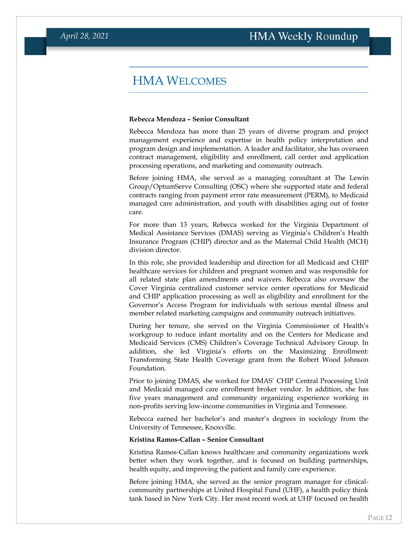#### HMA WELCOMES

#### <span id="page-11-0"></span>**Rebecca Mendoza – Senior Consultant**

Rebecca Mendoza has more than 25 years of diverse program and project management experience and expertise in health policy interpretation and program design and implementation. A leader and facilitator, she has overseen contract management, eligibility and enrollment, call center and application processing operations, and marketing and community outreach.

Before joining HMA, she served as a managing consultant at The Lewin Group/OptumServe Consulting (OSC) where she supported state and federal contracts ranging from payment error rate measurement (PERM), to Medicaid managed care administration, and youth with disabilities aging out of foster care.

For more than 13 years, Rebecca worked for the Virginia Department of Medical Assistance Services (DMAS) serving as Virginia's Children's Health Insurance Program (CHIP) director and as the Maternal Child Health (MCH) division director.

In this role, she provided leadership and direction for all Medicaid and CHIP healthcare services for children and pregnant women and was responsible for all related state plan amendments and waivers. Rebecca also oversaw the Cover Virginia centralized customer service center operations for Medicaid and CHIP application processing as well as eligibility and enrollment for the Governor's Access Program for individuals with serious mental illness and member related marketing campaigns and community outreach initiatives.

During her tenure, she served on the Virginia Commissioner of Health's workgroup to reduce infant mortality and on the Centers for Medicare and Medicaid Services (CMS) Children's Coverage Technical Advisory Group. In addition, she led Virginia's efforts on the Maximizing Enrollment: Transforming State Health Coverage grant from the Robert Wood Johnson Foundation.

Prior to joining DMAS, she worked for DMAS' CHIP Central Processing Unit and Medicaid managed care enrollment broker vendor. In addition, she has five years management and community organizing experience working in non-profits serving low-income communities in Virginia and Tennessee.

Rebecca earned her bachelor's and master's degrees in sociology from the University of Tennessee, Knoxville.

#### **Kristina Ramos-Callan – Senior Consultant**

Kristina Ramos-Callan knows healthcare and community organizations work better when they work together, and is focused on building partnerships, health equity, and improving the patient and family care experience.

Before joining HMA, she served as the senior program manager for clinicalcommunity partnerships at United Hospital Fund (UHF), a health policy think tank based in New York City. Her most recent work at UHF focused on health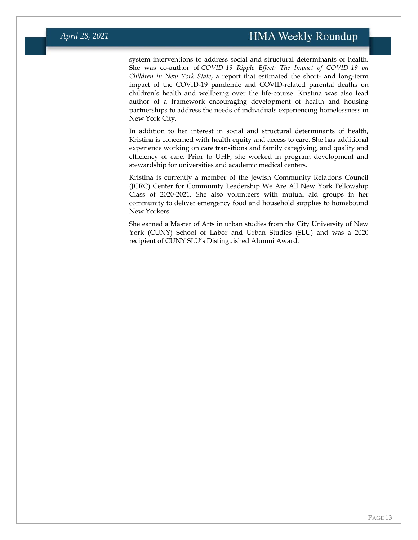system interventions to address social and structural determinants of health. She was co-author of *COVID-19 Ripple Effect: The Impact of COVID-19 on Children in New York State*, a report that estimated the short- and long-term impact of the COVID-19 pandemic and COVID-related parental deaths on children's health and wellbeing over the life-course. Kristina was also lead author of a framework encouraging development of health and housing partnerships to address the needs of individuals experiencing homelessness in New York City.

In addition to her interest in social and structural determinants of health, Kristina is concerned with health equity and access to care. She has additional experience working on care transitions and family caregiving, and quality and efficiency of care. Prior to UHF, she worked in program development and stewardship for universities and academic medical centers.

Kristina is currently a member of the Jewish Community Relations Council (JCRC) Center for Community Leadership We Are All New York Fellowship Class of 2020-2021. She also volunteers with mutual aid groups in her community to deliver emergency food and household supplies to homebound New Yorkers.

She earned a Master of Arts in urban studies from the City University of New York (CUNY) School of Labor and Urban Studies (SLU) and was a 2020 recipient of CUNY SLU's Distinguished Alumni Award.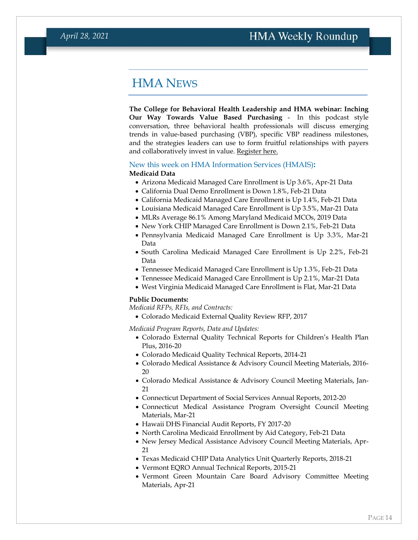### HMA NEWS

<span id="page-13-0"></span>**The College for Behavioral Health Leadership and HMA webinar: Inching Our Way Towards Value Based Purchasing** - In this podcast style conversation, three behavioral health professionals will discuss emerging trends in value-based purchasing (VBP), specific VBP readiness milestones, and the strategies leaders can use to form fruitful relationships with payers and collaboratively invest in value. [Register here.](https://www.leaders4health.org/event/vbp/)

#### New this week on HMA Information Services (HMAIS)**:**

#### **Medicaid Data**

- Arizona Medicaid Managed Care Enrollment is Up 3.6%, Apr-21 Data
- California Dual Demo Enrollment is Down 1.8%, Feb-21 Data
- California Medicaid Managed Care Enrollment is Up 1.4%, Feb-21 Data
- Louisiana Medicaid Managed Care Enrollment is Up 3.5%, Mar-21 Data
- MLRs Average 86.1% Among Maryland Medicaid MCOs, 2019 Data
- New York CHIP Managed Care Enrollment is Down 2.1%, Feb-21 Data
- Pennsylvania Medicaid Managed Care Enrollment is Up 3.3%, Mar-21 Data
- South Carolina Medicaid Managed Care Enrollment is Up 2.2%, Feb-21 Data
- Tennessee Medicaid Managed Care Enrollment is Up 1.3%, Feb-21 Data
- Tennessee Medicaid Managed Care Enrollment is Up 2.1%, Mar-21 Data
- West Virginia Medicaid Managed Care Enrollment is Flat, Mar-21 Data

#### **Public Documents:**

*Medicaid RFPs, RFIs, and Contracts:*

• Colorado Medicaid External Quality Review RFP, 2017

*Medicaid Program Reports, Data and Updates:*

- Colorado External Quality Technical Reports for Children's Health Plan Plus, 2016-20
- Colorado Medicaid Quality Technical Reports, 2014-21
- Colorado Medical Assistance & Advisory Council Meeting Materials, 2016- 20
- Colorado Medical Assistance & Advisory Council Meeting Materials, Jan-21
- Connecticut Department of Social Services Annual Reports, 2012-20
- Connecticut Medical Assistance Program Oversight Council Meeting Materials, Mar-21
- Hawaii DHS Financial Audit Reports, FY 2017-20
- North Carolina Medicaid Enrollment by Aid Category, Feb-21 Data
- New Jersey Medical Assistance Advisory Council Meeting Materials, Apr-21
- Texas Medicaid CHIP Data Analytics Unit Quarterly Reports, 2018-21
- Vermont EQRO Annual Technical Reports, 2015-21
- Vermont Green Mountain Care Board Advisory Committee Meeting Materials, Apr-21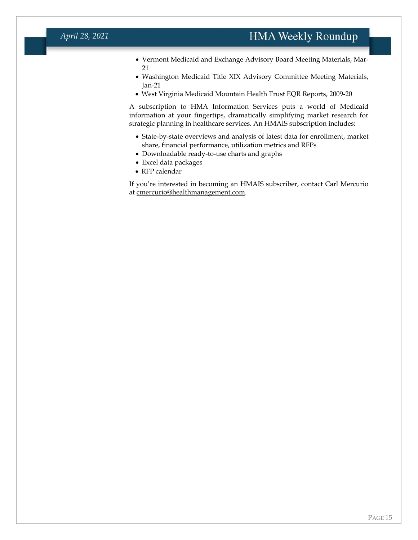#### *April 28, 2021*

- Vermont Medicaid and Exchange Advisory Board Meeting Materials, Mar-21
- Washington Medicaid Title XIX Advisory Committee Meeting Materials, Jan-21
- West Virginia Medicaid Mountain Health Trust EQR Reports, 2009-20

A subscription to HMA Information Services puts a world of Medicaid information at your fingertips, dramatically simplifying market research for strategic planning in healthcare services. An HMAIS subscription includes:

- State-by-state overviews and analysis of latest data for enrollment, market share, financial performance, utilization metrics and RFPs
- Downloadable ready-to-use charts and graphs
- Excel data packages
- RFP calendar

If you're interested in becoming an HMAIS subscriber, contact Carl Mercurio at [cmercurio@healthmanagement.com.](mailto:cmercurio@healthmanagement.com)